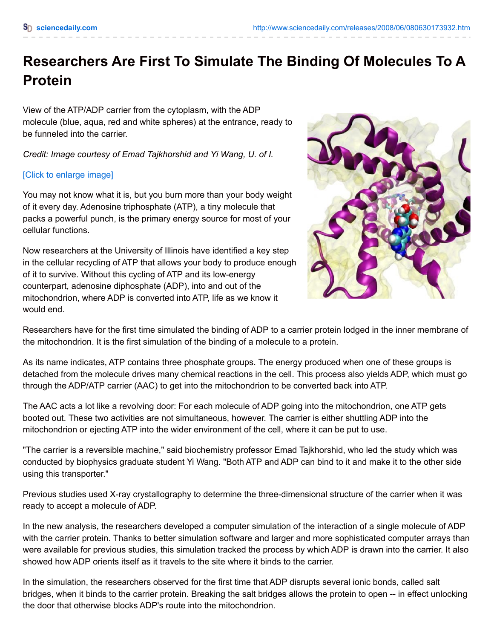## **Researchers Are First To Simulate The Binding Of Molecules To A Protein**

View of the ATP/ADP carrier from the cytoplasm, with the ADP molecule (blue, aqua, red and white spheres) at the entrance, ready to be funneled into the carrier.

*Credit: Image courtesy of Emad Tajkhorshid and Yi Wang, U. of I.*

## [Click to [enlarge](javascript:void(0)) image]

You may not know what it is, but you burn more than your body weight of it every day. Adenosine triphosphate (ATP), a tiny molecule that packs a powerful punch, is the primary energy source for most of your cellular functions.

Now researchers at the University of Illinois have identified a key step in the cellular recycling of ATP that allows your body to produce enough of it to survive. Without this cycling of ATP and its low-energy counterpart, adenosine diphosphate (ADP), into and out of the mitochondrion, where ADP is converted into ATP, life as we know it would end.



Researchers have for the first time simulated the binding of ADP to a carrier protein lodged in the inner membrane of the mitochondrion. It is the first simulation of the binding of a molecule to a protein.

As its name indicates, ATP contains three phosphate groups. The energy produced when one of these groups is detached from the molecule drives many chemical reactions in the cell. This process also yields ADP, which must go through the ADP/ATP carrier (AAC) to get into the mitochondrion to be converted back into ATP.

The AAC acts a lot like a revolving door: For each molecule of ADP going into the mitochondrion, one ATP gets booted out. These two activities are not simultaneous, however. The carrier is either shuttling ADP into the mitochondrion or ejecting ATP into the wider environment of the cell, where it can be put to use.

"The carrier is a reversible machine," said biochemistry professor Emad Tajkhorshid, who led the study which was conducted by biophysics graduate student Yi Wang. "Both ATP and ADP can bind to it and make it to the other side using this transporter."

Previous studies used X-ray crystallography to determine the three-dimensional structure of the carrier when it was ready to accept a molecule of ADP.

In the new analysis, the researchers developed a computer simulation of the interaction of a single molecule of ADP with the carrier protein. Thanks to better simulation software and larger and more sophisticated computer arrays than were available for previous studies, this simulation tracked the process by which ADP is drawn into the carrier. It also showed how ADP orients itself as it travels to the site where it binds to the carrier.

In the simulation, the researchers observed for the first time that ADP disrupts several ionic bonds, called salt bridges, when it binds to the carrier protein. Breaking the salt bridges allows the protein to open -- in effect unlocking the door that otherwise blocks ADP's route into the mitochondrion.